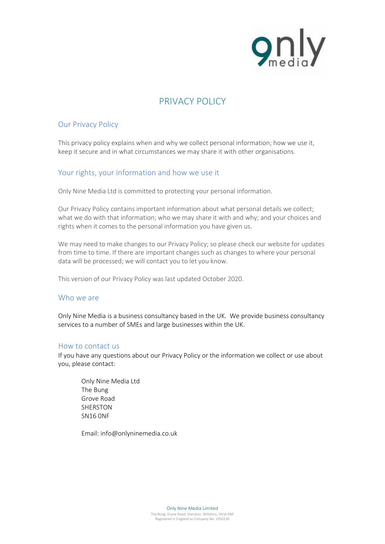

# **PRIVACY POLICY**

# **Our Privacy Policy**

This privacy policy explains when and why we collect personal information; how we use it, keep it secure and in what circumstances we may share it with other organisations.

# **Your rights, your information and how we use it**

Only Nine Media Ltd is committed to protecting your personal information.

Our Privacy Policy contains important information about what personal details we collect; what we do with that information; who we may share it with and why; and your choices and rights when it comes to the personal information you have given us.

We may need to make changes to our Privacy Policy; so please check our website for updates from time to time. If there are important changes such as changes to where your personal data will be processed; we will contact you to let you know.

This version of our Privacy Policy was last updated **October 2020**.

## Who we are

Only Nine Media is a business consultancy based in the UK. We provide business consultancy services to a number of SMEs and large businesses within the UK.

## **How to contact us**

If you have any questions about our Privacy Policy or the information we collect or use about you, please contact:

Only Nine Media Ltd The Bung Grove Road SHERSTON SN16 0NF

Email: info@onlyninemedia.co.uk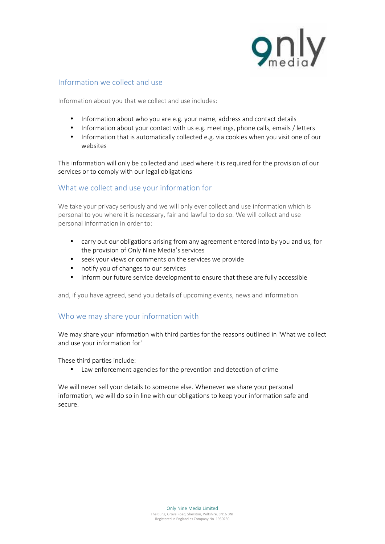

# **Information we collect and use**

Information about you that we collect and use includes:

- Information about who you are e.g. your name, address and contact details
- Information about your contact with us e.g. meetings, phone calls, emails / letters
- Information that is automatically collected e.g. via cookies when you visit one of our websites

This information will only be collected and used where it is required for the provision of our services or to comply with our legal obligations

# **What we collect and use your information for**

We take your privacy seriously and we will only ever collect and use information which is personal to you where it is necessary, fair and lawful to do so. We will collect and use personal information in order to:

- carry out our obligations arising from any agreement entered into by you and us, for the provision of Only Nine Media's services
- seek your views or comments on the services we provide
- notify you of changes to our services
- inform our future service development to ensure that these are fully accessible

and, if you have agreed, send you details of upcoming events, news and information

# **Who we may share your information with**

We may share your information with third parties for the reasons outlined in 'What we collect and use your information for'

These third parties include:

Law enforcement agencies for the prevention and detection of crime

We will never sell your details to someone else. Whenever we share your personal information, we will do so in line with our obligations to keep your information safe and secure.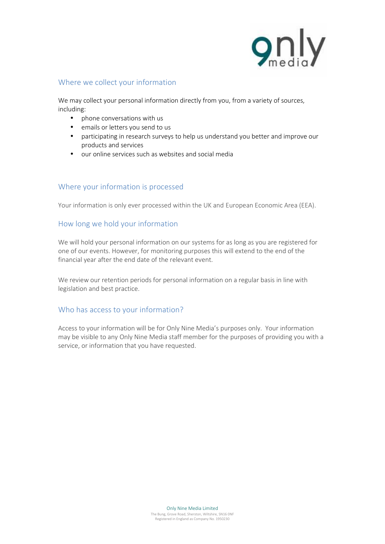

# **Where we collect your information**

We may collect your personal information directly from you, from a variety of sources, including:

- phone conversations with us
- emails or letters you send to us
- participating in research surveys to help us understand you better and improve our products and services
- our online services such as websites and social media

# **Where your information is processed**

Your information is only ever processed within the UK and European Economic Area (EEA).

# **How long we hold your information**

We will hold your personal information on our systems for as long as you are registered for one of our events. However, for monitoring purposes this will extend to the end of the financial year after the end date of the relevant event.

We review our retention periods for personal information on a regular basis in line with legislation and best practice.

# **Who has access to your information?**

Access to your information will be for Only Nine Media's purposes only. Your information may be visible to any Only Nine Media staff member for the purposes of providing you with a service, or information that you have requested.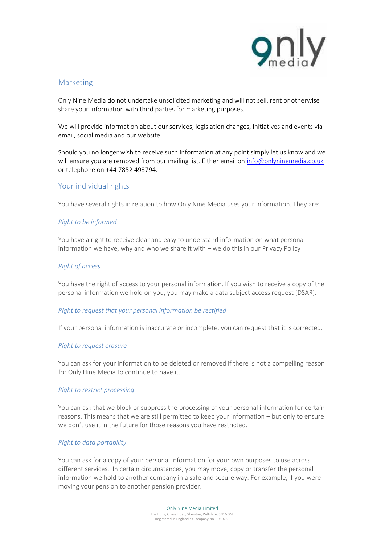

# **Marketing**

Only Nine Media do not undertake unsolicited marketing and will not sell, rent or otherwise share your information with third parties for marketing purposes.

We will provide information about our services, legislation changes, initiatives and events via email, social media and our website.

Should you no longer wish to receive such information at any point simply let us know and we will ensure you are removed from our mailing list. Either email on info@onlyninemedia.co.uk or telephone on +44 7852 493794.

## **Your individual rights**

You have several rights in relation to how Only Nine Media uses your information. They are:

### *Right to be informed*

You have a right to receive clear and easy to understand information on what personal information we have, why and who we share it with – we do this in our Privacy Policy

#### *Right of access*

You have the right of access to your personal information. If you wish to receive a copy of the personal information we hold on you, you may make a data subject access request (DSAR).

#### *Right to request that your personal information be rectified*

If your personal information is inaccurate or incomplete, you can request that it is corrected.

#### *Right to request erasure*

You can ask for your information to be deleted or removed if there is not a compelling reason for Only Hine Media to continue to have it.

#### *Right to restrict processing*

You can ask that we block or suppress the processing of your personal information for certain reasons. This means that we are still permitted to keep your information – but only to ensure we don't use it in the future for those reasons you have restricted.

#### *Right to data portability*

You can ask for a copy of your personal information for your own purposes to use across different services. In certain circumstances, you may move, copy or transfer the personal information we hold to another company in a safe and secure way. For example, if you were moving your pension to another pension provider.